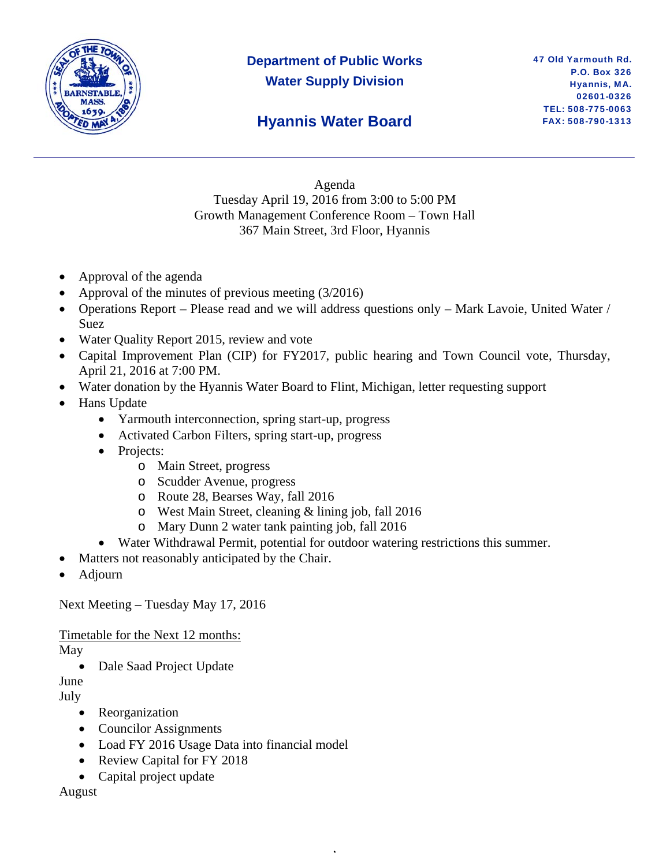

# **Department of Public Works Water Supply Division**

# **Hyannis Water Board**

Agenda Tuesday April 19, 2016 from 3:00 to 5:00 PM Growth Management Conference Room – Town Hall 367 Main Street, 3rd Floor, Hyannis

- Approval of the agenda
- Approval of the minutes of previous meeting (3/2016)
- Operations Report Please read and we will address questions only Mark Lavoie, United Water / Suez
- Water Quality Report 2015, review and vote
- Capital Improvement Plan (CIP) for FY2017, public hearing and Town Council vote, Thursday, April 21, 2016 at 7:00 PM.
- Water donation by the Hyannis Water Board to Flint, Michigan, letter requesting support
- Hans Update
	- Yarmouth interconnection, spring start-up, progress
	- Activated Carbon Filters, spring start-up, progress
	- Projects:
		- o Main Street, progress
		- o Scudder Avenue, progress
		- o Route 28, Bearses Way, fall 2016
		- o West Main Street, cleaning & lining job, fall 2016
		- o Mary Dunn 2 water tank painting job, fall 2016
	- Water Withdrawal Permit, potential for outdoor watering restrictions this summer.

,

- Matters not reasonably anticipated by the Chair.
- Adjourn

Next Meeting – Tuesday May 17, 2016

Timetable for the Next 12 months:

May

• Dale Saad Project Update

June

July

- Reorganization
- Councilor Assignments
- Load FY 2016 Usage Data into financial model
- Review Capital for FY 2018
- Capital project update

August